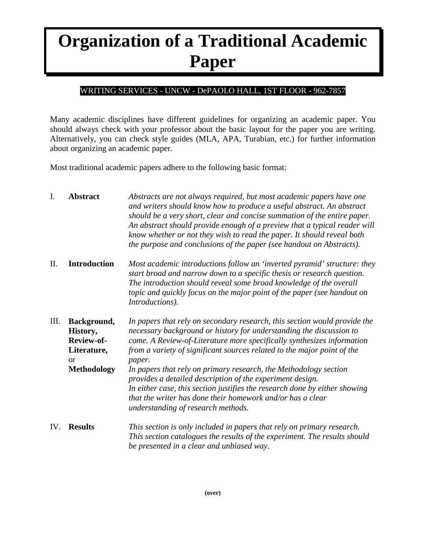## **Organization of a Traditional Academic Paper**

## WRITING SERVICES - UNCW - DePAOLO HALL, 1ST FLOOR - 962-7857

Many academic disciplines have different guidelines for organizing an academic paper. You should always check with your professor about the basic layout for the paper you are writing. Alternatively, you can check style guides (MLA, APA, Turabian, etc.) for further information about organizing an academic paper.

Most traditional academic papers adhere to the following basic format:

| I.   | <b>Abstract</b>                                                                             | Abstracts are not always required, but most academic papers have one<br>and writers should know how to produce a useful abstract. An abstract<br>should be a very short, clear and concise summation of the entire paper.<br>An abstract should provide enough of a preview that a typical reader will<br>know whether or not they wish to read the paper. It should reveal both<br>the purpose and conclusions of the paper (see handout on Abstracts).                                                                                                                                                                           |
|------|---------------------------------------------------------------------------------------------|------------------------------------------------------------------------------------------------------------------------------------------------------------------------------------------------------------------------------------------------------------------------------------------------------------------------------------------------------------------------------------------------------------------------------------------------------------------------------------------------------------------------------------------------------------------------------------------------------------------------------------|
| Π.   | <b>Introduction</b>                                                                         | Most academic introductions follow an 'inverted pyramid' structure: they<br>start broad and narrow down to a specific thesis or research question.<br>The introduction should reveal some broad knowledge of the overall<br>topic and quickly focus on the major point of the paper (see handout on<br>Introductions).                                                                                                                                                                                                                                                                                                             |
| III. | Background,<br>History,<br>Review-of-<br>Literature,<br><sub>or</sub><br><b>Methodology</b> | In papers that rely on secondary research, this section would provide the<br>necessary background or history for understanding the discussion to<br>come. A Review-of-Literature more specifically synthesizes information<br>from a variety of significant sources related to the major point of the<br>paper.<br>In papers that rely on primary research, the Methodology section<br>provides a detailed description of the experiment design.<br>In either case, this section justifies the research done by either showing<br>that the writer has done their homework and/or has a clear<br>understanding of research methods. |
| IV.  | <b>Results</b>                                                                              | This section is only included in papers that rely on primary research.<br>This section catalogues the results of the experiment. The results should<br>be presented in a clear and unbiased way.                                                                                                                                                                                                                                                                                                                                                                                                                                   |